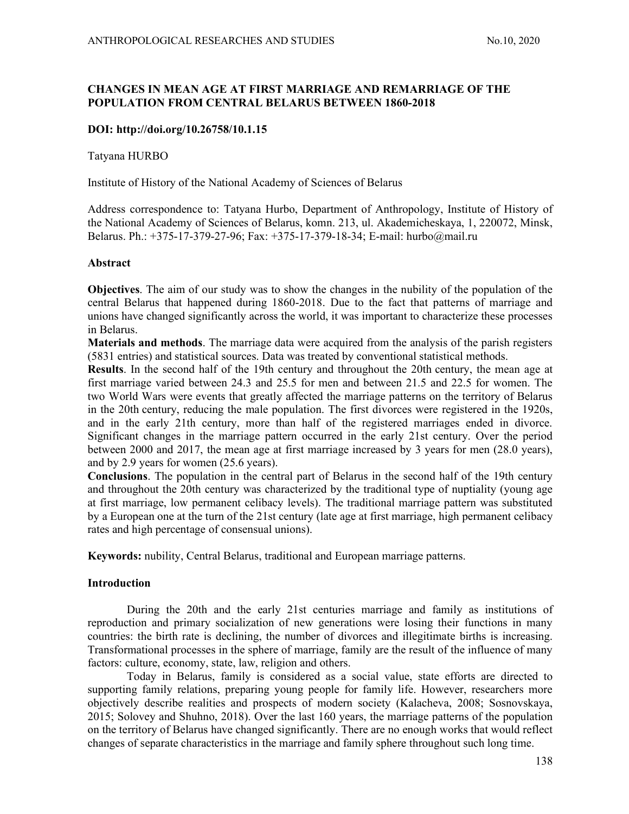## CHANGES IN MEAN AGE AT FIRST MARRIAGE AND REMARRIAGE OF THE POPULATION FROM CENTRAL BELARUS BETWEEN 1860-2018

## DOI: http://doi.org/10.26758/10.1.15

Tatyana HURBO

Institute of History of the National Academy of Sciences of Belarus

Address correspondence to: Tatyana Hurbo, Department of Anthropology, Institute of History of the National Academy of Sciences of Belarus, komn. 213, ul. Akademicheskaya, 1, 220072, Minsk, Belarus. Ph.: +375-17-379-27-96; Fax: +375-17-379-18-34; E-mail: hurbo@mail.ru

#### Abstract

Objectives. The aim of our study was to show the changes in the nubility of the population of the central Belarus that happened during 1860-2018. Due to the fact that patterns of marriage and unions have changed significantly across the world, it was important to characterize these processes in Belarus.

Materials and methods. The marriage data were acquired from the analysis of the parish registers (5831 entries) and statistical sources. Data was treated by conventional statistical methods.

Results. In the second half of the 19th century and throughout the 20th century, the mean age at first marriage varied between 24.3 and 25.5 for men and between 21.5 and 22.5 for women. The two World Wars were events that greatly affected the marriage patterns on the territory of Belarus in the 20th century, reducing the male population. The first divorces were registered in the 1920s, and in the early 21th century, more than half of the registered marriages ended in divorce. Significant changes in the marriage pattern occurred in the early 21st century. Over the period between 2000 and 2017, the mean age at first marriage increased by 3 years for men (28.0 years), and by 2.9 years for women (25.6 years).

Conclusions. The population in the central part of Belarus in the second half of the 19th century and throughout the 20th century was characterized by the traditional type of nuptiality (young age at first marriage, low permanent celibacy levels). The traditional marriage pattern was substituted by a European one at the turn of the 21st century (late age at first marriage, high permanent celibacy rates and high percentage of consensual unions).

Keywords: nubility, Central Belarus, traditional and European marriage patterns.

## Introduction

During the 20th and the early 21st centuries marriage and family as institutions of reproduction and primary socialization of new generations were losing their functions in many countries: the birth rate is declining, the number of divorces and illegitimate births is increasing. Transformational processes in the sphere of marriage, family are the result of the influence of many factors: culture, economy, state, law, religion and others.

Today in Belarus, family is considered as a social value, state efforts are directed to supporting family relations, preparing young people for family life. However, researchers more objectively describe realities and prospects of modern society (Kalacheva, 2008; Sosnovskaya, 2015; Solovey and Shuhno, 2018). Over the last 160 years, the marriage patterns of the population on the territory of Belarus have changed significantly. There are no enough works that would reflect changes of separate characteristics in the marriage and family sphere throughout such long time.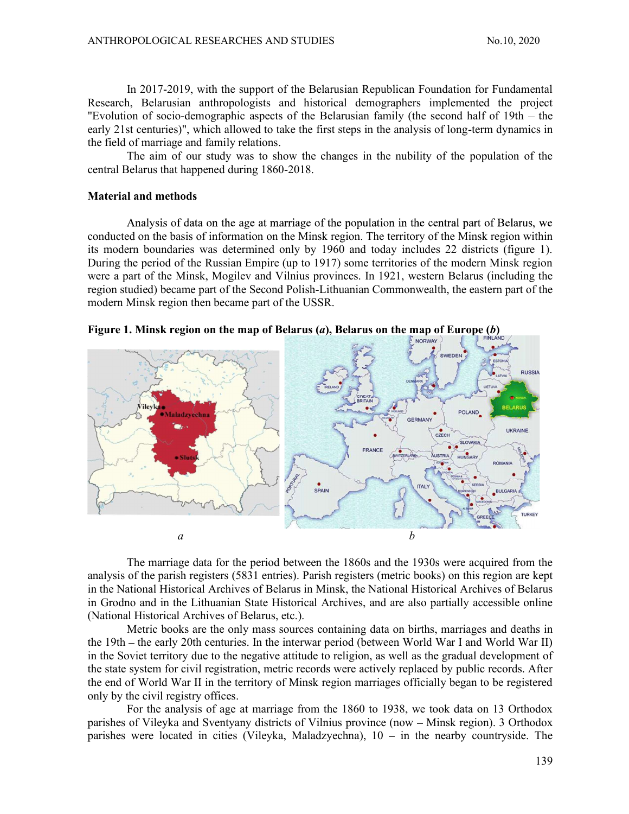In 2017-2019, with the support of the Belarusian Republican Foundation for Fundamental Research, Belarusian anthropologists and historical demographers implemented the project "Evolution of socio-demographic aspects of the Belarusian family (the second half of  $19th - the$ early 21st centuries)", which allowed to take the first steps in the analysis of long-term dynamics in the field of marriage and family relations.

The aim of our study was to show the changes in the nubility of the population of the central Belarus that happened during 1860-2018.

#### Material and methods

Analysis of data on the age at marriage of the population in the central part of Belarus, we conducted on the basis of information on the Minsk region. The territory of the Minsk region within its modern boundaries was determined only by 1960 and today includes 22 districts (figure 1). During the period of the Russian Empire (up to 1917) some territories of the modern Minsk region were a part of the Minsk, Mogilev and Vilnius provinces. In 1921, western Belarus (including the region studied) became part of the Second Polish-Lithuanian Commonwealth, the eastern part of the modern Minsk region then became part of the USSR.





The marriage data for the period between the 1860s and the 1930s were acquired from the analysis of the parish registers (5831 entries). Parish registers (metric books) on this region are kept in the National Historical Archives of Belarus in Minsk, the National Historical Archives of Belarus in Grodno and in the Lithuanian State Historical Archives, and are also partially accessible online (National Historical Archives of Belarus, etc.).

Metric books are the only mass sources containing data on births, marriages and deaths in the 19th – the early 20th centuries. In the interwar period (between World War I and World War II) in the Soviet territory due to the negative attitude to religion, as well as the gradual development of the state system for civil registration, metric records were actively replaced by public records. After the end of World War II in the territory of Minsk region marriages officially began to be registered only by the civil registry offices.

For the analysis of age at marriage from the 1860 to 1938, we took data on 13 Orthodox parishes of Vileyka and Sventyany districts of Vilnius province (now – Minsk region). 3 Orthodox parishes were located in cities (Vileyka, Maladzyechna),  $10 - in$  the nearby countryside. The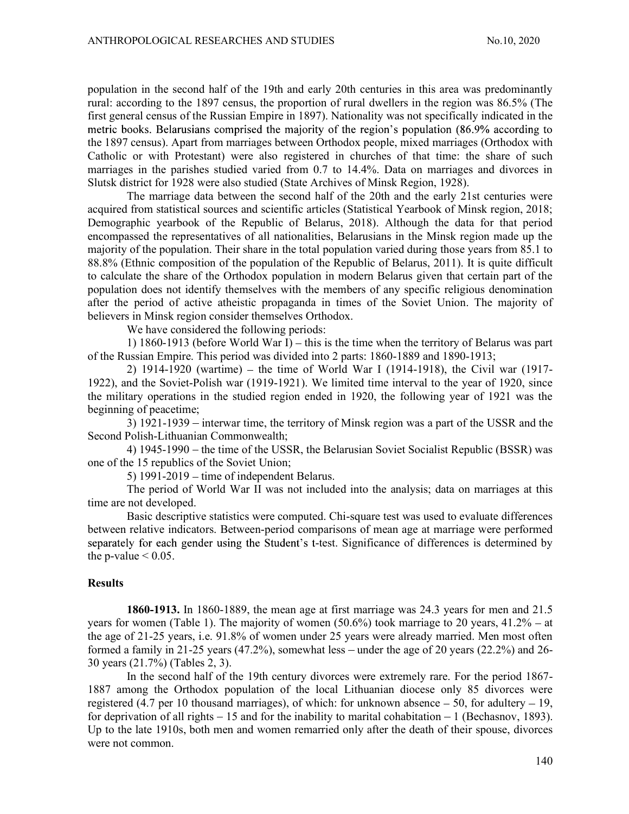population in the second half of the 19th and early 20th centuries in this area was predominantly rural: according to the 1897 census, the proportion of rural dwellers in the region was 86.5% (The first general census of the Russian Empire in 1897). Nationality was not specifically indicated in the metric books. Belarusians comprised the majority of the region's population (86.9% according to the 1897 census). Apart from marriages between Orthodox people, mixed marriages (Orthodox with Catholic or with Protestant) were also registered in churches of that time: the share of such marriages in the parishes studied varied from 0.7 to 14.4%. Data on marriages and divorces in Slutsk district for 1928 were also studied (State Archives of Minsk Region, 1928).

The marriage data between the second half of the 20th and the early 21st centuries were acquired from statistical sources and scientific articles (Statistical Yearbook of Minsk region, 2018; Demographic yearbook of the Republic of Belarus, 2018). Although the data for that period encompassed the representatives of all nationalities, Belarusians in the Minsk region made up the majority of the population. Their share in the total population varied during those years from 85.1 to 88.8% (Ethnic composition of the population of the Republic of Belarus, 2011). It is quite difficult to calculate the share of the Orthodox population in modern Belarus given that certain part of the population does not identify themselves with the members of any specific religious denomination after the period of active atheistic propaganda in times of the Soviet Union. The majority of believers in Minsk region consider themselves Orthodox.

We have considered the following periods:

1) 1860-1913 (before World War I) – this is the time when the territory of Belarus was part of the Russian Empire. This period was divided into 2 parts: 1860-1889 and 1890-1913;

2) 1914-1920 (wartime) – the time of World War I (1914-1918), the Civil war (1917-1922), and the Soviet-Polish war (1919-1921). We limited time interval to the year of 1920, since the military operations in the studied region ended in 1920, the following year of 1921 was the beginning of peacetime;

 $3)$  1921-1939 – interwar time, the territory of Minsk region was a part of the USSR and the Second Polish-Lithuanian Commonwealth;

4) 1945-1990 – the time of the USSR, the Belarusian Soviet Socialist Republic (BSSR) was one of the 15 republics of the Soviet Union;

5)  $1991-2019$  – time of independent Belarus.

The period of World War II was not included into the analysis; data on marriages at this time are not developed.

Basic descriptive statistics were computed. Chi-square test was used to evaluate differences between relative indicators. Between-period comparisons of mean age at marriage were performed separately for each gender using the Student's t-test. Significance of differences is determined by the p-value  $\leq 0.05$ .

### **Results**

1860-1913. In 1860-1889, the mean age at first marriage was 24.3 years for men and 21.5 years for women (Table 1). The majority of women  $(50.6\%)$  took marriage to 20 years,  $41.2\%$  – at the age of 21-25 years, i.e. 91.8% of women under 25 years were already married. Men most often formed a family in 21-25 years  $(47.2\%)$ , somewhat less – under the age of 20 years  $(22.2\%)$  and 26-30 years (21.7%) (Tables 2, 3).

In the second half of the 19th century divorces were extremely rare. For the period 1867- 1887 among the Orthodox population of the local Lithuanian diocese only 85 divorces were registered (4.7 per 10 thousand marriages), of which: for unknown absence  $-50$ , for adultery  $-19$ , for deprivation of all rights  $-15$  and for the inability to marital cohabitation  $-1$  (Bechasnov, 1893). Up to the late 1910s, both men and women remarried only after the death of their spouse, divorces were not common.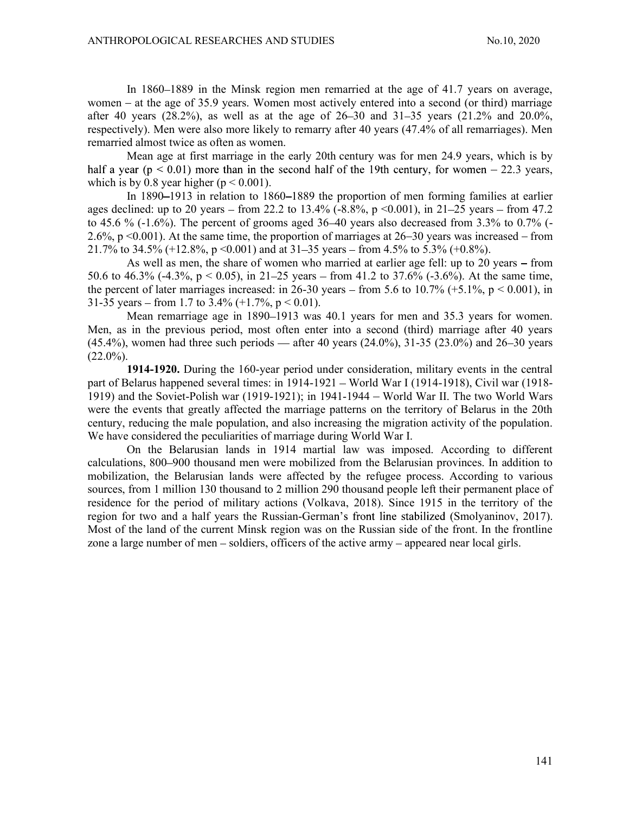In 1860–1889 in the Minsk region men remarried at the age of 41.7 years on average, women – at the age of 35.9 years. Women most actively entered into a second (or third) marriage after 40 years (28.2%), as well as at the age of  $26-30$  and  $31-35$  years (21.2% and 20.0%, respectively). Men were also more likely to remarry after 40 years (47.4% of all remarriages). Men remarried almost twice as often as women.

Mean age at first marriage in the early 20th century was for men 24.9 years, which is by half a year ( $p < 0.01$ ) more than in the second half of the 19th century, for women  $-22.3$  years, which is by 0.8 year higher ( $p < 0.001$ ).

In 1890–1913 in relation to 1860–1889 the proportion of men forming families at earlier ages declined: up to 20 years – from 22.2 to 13.4% (-8.8%, p <0.001), in 21–25 years – from 47.2 to 45.6 %  $(-1.6\%)$ . The percent of grooms aged 36–40 years also decreased from 3.3% to 0.7%  $(-1.6\%)$ . 2.6%,  $p \le 0.001$ ). At the same time, the proportion of marriages at 26–30 years was increased – from 21.7% to 34.5% (+12.8%, p <0.001) and at 31–35 years – from 4.5% to 5.3% (+0.8%).

As well as men, the share of women who married at earlier age fell: up to 20 years  $-$  from 50.6 to 46.3% (-4.3%,  $p < 0.05$ ), in 21–25 years – from 41.2 to 37.6% (-3.6%). At the same time, the percent of later marriages increased: in 26-30 years – from 5.6 to 10.7% (+5.1%,  $p < 0.001$ ), in 31-35 years – from 1.7 to 3.4%  $(+1.7\% , p < 0.01)$ .

Mean remarriage age in 1890–1913 was 40.1 years for men and 35.3 years for women. Men, as in the previous period, most often enter into a second (third) marriage after 40 years  $(45.4\%)$ , women had three such periods — after 40 years  $(24.0\%)$ , 31-35  $(23.0\%)$  and 26–30 years  $(22.0\%)$ .

1914-1920. During the 160-year period under consideration, military events in the central part of Belarus happened several times: in  $1914-1921$  – World War I (1914-1918), Civil war (1918-1919) and the Soviet-Polish war (1919-1921); in 1941-1944 – World War II. The two World Wars were the events that greatly affected the marriage patterns on the territory of Belarus in the 20th century, reducing the male population, and also increasing the migration activity of the population. We have considered the peculiarities of marriage during World War I.

On the Belarusian lands in 1914 martial law was imposed. According to different calculations, 800 900 thousand men were mobilized from the Belarusian provinces. In addition to mobilization, the Belarusian lands were affected by the refugee process. According to various sources, from 1 million 130 thousand to 2 million 290 thousand people left their permanent place of residence for the period of military actions (Volkava, 2018). Since 1915 in the territory of the region for two and a half years the Russian-German's front line stabilized (Smolyaninov, 2017). Most of the land of the current Minsk region was on the Russian side of the front. In the frontline zone a large number of men – soldiers, officers of the active army – appeared near local girls.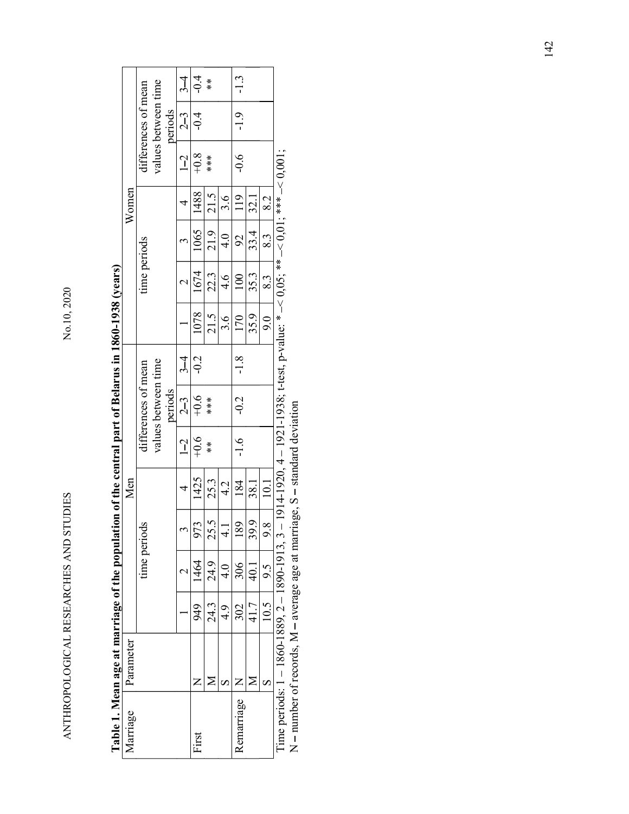| Marriage                   |      |                   |               | Men         |               |                                |        |      |               |                       | Women |                |                                |        |
|----------------------------|------|-------------------|---------------|-------------|---------------|--------------------------------|--------|------|---------------|-----------------------|-------|----------------|--------------------------------|--------|
|                            |      |                   | time periods  |             |               | differences of mean            |        |      | time periods  |                       |       |                | differences of mean            |        |
|                            |      |                   |               |             |               | values between time<br>periods |        |      |               |                       |       |                | values between time<br>periods |        |
|                            |      | $\mathbf{\Omega}$ | $\sim$        | 4           | $1-2$         | $2-3$                          | $3-4$  |      | $\sim$        | $\tilde{\phantom{a}}$ | 4     | $\overline{1}$ | $2-3$                          | $3-4$  |
| $\mathsf{z}$<br>First      | 949  | 1464              | 973           | 1425        | $+0.6$        | $-0.6$<br>***                  | $-0.2$ | 1078 | 1674          | 1065                  | 1488  | $+0.8$         | $-0.4$                         | $-0.4$ |
| $\geq$                     | 24.3 | 24.9              | 25.5          | 25.3        | $\frac{*}{*}$ |                                |        | 21.5 | 22.3          | 21.9                  | 21.5  | $***$          |                                | $*$    |
| $\infty$                   | 4.9  | 4.0               | $\frac{1}{4}$ | 4.2         |               |                                |        | 3.6  | $\frac{4}{6}$ | $\frac{4}{1}$         | 3.6   |                |                                |        |
| $\mathsf{Z}$<br>Remarriage | 302  | 306               | 189           | 184         | $-1.6$        | $-0.2$                         | $-1.8$ | 170  | 100           | 92                    | 119   | $-0.6$         | $-1.9$                         | $-1.3$ |
| $\mathbf{\Sigma}$          | 41.7 | 40.1              | 39.9          | <u>38.1</u> |               |                                |        | 35.9 | 35.3          | 33.4                  | 32.1  |                |                                |        |
| $\boldsymbol{\omega}$      |      | 9.5<br>10.5       | 9.8           | 10.1        |               |                                |        | 9.0  | 8.3           | 8.3                   | 8.2   |                |                                |        |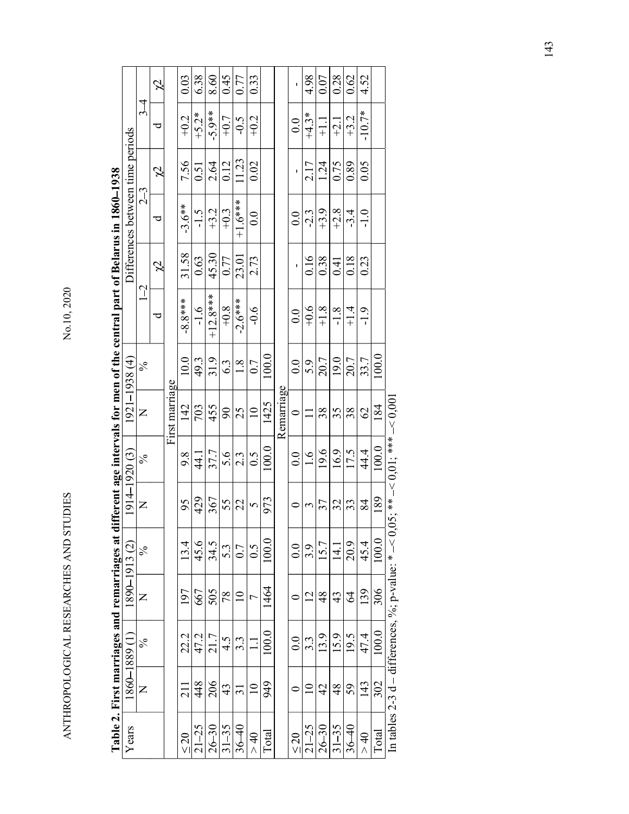| י<br>ו<br>ו     |
|-----------------|
|                 |
| <br> <br>       |
|                 |
|                 |
| l   <br> <br>   |
|                 |
| - 1<br>- 1<br>1 |
| ト・ストス へいへい      |
|                 |
|                 |
|                 |

|                                                                 | tterences between time periods         |                |  |
|-----------------------------------------------------------------|----------------------------------------|----------------|--|
|                                                                 |                                        | $\mathbf$<br>Ï |  |
|                                                                 | המאומר מממות הדורד <del>ו</del>        |                |  |
|                                                                 | $\frac{2}{3}$                          | I              |  |
|                                                                 |                                        |                |  |
|                                                                 |                                        |                |  |
|                                                                 | $\sim$ 0.00 100 100 1<br>$0.551 - 125$ |                |  |
|                                                                 |                                        |                |  |
| t age intervals for men of the central part of Belarus in 1860– |                                        |                |  |
| es at different                                                 | $\frac{1}{2}$<br>י<br>ו                |                |  |
|                                                                 | $\overline{V}$<br>$\ddot{\phantom{0}}$ | ś<br>¢         |  |
|                                                                 |                                        |                |  |
|                                                                 |                                        |                |  |
|                                                                 |                                        |                |  |
|                                                                 |                                        |                |  |

| 31.58<br>45.30<br>23.01<br>0.63<br>0.16<br>0.38<br>0.18<br>2.73<br>0.77<br>0.41<br>$\cancel{2}$<br>$\mathbf I$<br>$1-2$<br>$+12.8***$<br>$-8.8***$<br>$-2.6***$<br>$+0.8$<br>$+0.6$<br>$+1.8$<br>$+1.4$<br>$-1.6$<br>$-0.6$<br>$-1.8$<br>0.0<br>ರ<br>100.0<br>10.0<br>31.9<br>20.7<br>49.3<br>19.0<br>20.7<br>$-1938(4)$<br>0.0<br>5.9<br>1.8<br>6.3<br>0.7<br>$\%$<br>First marriage<br>Remarriage<br>1425<br>$\overline{1921}$<br>703<br>455<br>142<br>$\overline{10}$<br>38<br>38<br>$\mathcal{S}$<br>25<br>35<br>$\circ$<br>$\Box$<br>$\mathsf{z}$<br>100.0<br>19.6<br>17.5<br>$4 - 1920(3)$<br>16.9<br>37.7<br>5.6<br>0.5<br>0.0<br>1.6<br>9.8<br>$\frac{1}{4}$<br>2.3<br>$\%$<br>429<br>973<br>367<br>$\mathsf{z}$<br>95<br>$\frac{55}{22}$<br>$\sim$<br>57<br>32<br>33<br>$\circ$<br>$\mathfrak{S}$<br>$\overline{191}$<br>100.0<br>45.6<br>34.5<br>13.4<br>20.9<br>15.7<br>$\odot$<br>0.0<br>3.9<br>5.3<br>0.5<br>14.1<br>0.7<br>$\%$<br>1890-1913<br>1464<br>667<br>505<br>197<br>48<br>$\mathcal{Z}$<br>78<br>$\overline{10}$<br>$\overline{2}$<br>43<br>$\succ$<br>$\overline{C}$<br>$\circ$<br>100.0<br>13.9<br>47.2<br>21.7<br>15.9<br>19.5<br>22.2<br>0.0<br>$3.\overline{3}$<br>4.5<br>3.3<br>$\%$<br>1860–1889 (1<br>$\Xi$<br>448<br>206<br>949<br>211<br>$\overline{10}$<br>43<br>$\overline{10}$<br>42<br>48<br>59<br>$\overline{31}$<br>$\circ$<br>$\succ$<br>Years | Differences between time periods<br>7.56<br>0.51<br>$\beta$<br>23<br>$-3.6**$<br>$-1.5$<br>ರ | $\cancel{c}$<br>$\frac{3}{4}$<br>ರ |
|----------------------------------------------------------------------------------------------------------------------------------------------------------------------------------------------------------------------------------------------------------------------------------------------------------------------------------------------------------------------------------------------------------------------------------------------------------------------------------------------------------------------------------------------------------------------------------------------------------------------------------------------------------------------------------------------------------------------------------------------------------------------------------------------------------------------------------------------------------------------------------------------------------------------------------------------------------------------------------------------------------------------------------------------------------------------------------------------------------------------------------------------------------------------------------------------------------------------------------------------------------------------------------------------------------------------------------------------------------------------------------------|----------------------------------------------------------------------------------------------|------------------------------------|
|                                                                                                                                                                                                                                                                                                                                                                                                                                                                                                                                                                                                                                                                                                                                                                                                                                                                                                                                                                                                                                                                                                                                                                                                                                                                                                                                                                                        |                                                                                              |                                    |
|                                                                                                                                                                                                                                                                                                                                                                                                                                                                                                                                                                                                                                                                                                                                                                                                                                                                                                                                                                                                                                                                                                                                                                                                                                                                                                                                                                                        |                                                                                              |                                    |
|                                                                                                                                                                                                                                                                                                                                                                                                                                                                                                                                                                                                                                                                                                                                                                                                                                                                                                                                                                                                                                                                                                                                                                                                                                                                                                                                                                                        |                                                                                              |                                    |
| $21 - 25$<br>$36 - 40$<br>$26 - 30$<br>$31 - 35$                                                                                                                                                                                                                                                                                                                                                                                                                                                                                                                                                                                                                                                                                                                                                                                                                                                                                                                                                                                                                                                                                                                                                                                                                                                                                                                                       |                                                                                              |                                    |
|                                                                                                                                                                                                                                                                                                                                                                                                                                                                                                                                                                                                                                                                                                                                                                                                                                                                                                                                                                                                                                                                                                                                                                                                                                                                                                                                                                                        |                                                                                              | 0.03<br>$+0.2$                     |
|                                                                                                                                                                                                                                                                                                                                                                                                                                                                                                                                                                                                                                                                                                                                                                                                                                                                                                                                                                                                                                                                                                                                                                                                                                                                                                                                                                                        |                                                                                              | 6.38<br>$+5.2*$                    |
|                                                                                                                                                                                                                                                                                                                                                                                                                                                                                                                                                                                                                                                                                                                                                                                                                                                                                                                                                                                                                                                                                                                                                                                                                                                                                                                                                                                        | 2.64<br>$+3.2$                                                                               | 8.60<br>$-5.9**$                   |
|                                                                                                                                                                                                                                                                                                                                                                                                                                                                                                                                                                                                                                                                                                                                                                                                                                                                                                                                                                                                                                                                                                                                                                                                                                                                                                                                                                                        | 0.12<br>$+0.3$                                                                               | 0.45<br>$+0.7$                     |
|                                                                                                                                                                                                                                                                                                                                                                                                                                                                                                                                                                                                                                                                                                                                                                                                                                                                                                                                                                                                                                                                                                                                                                                                                                                                                                                                                                                        | 11.23<br>$+1.6***$                                                                           | 0.77<br>$-0.5$                     |
|                                                                                                                                                                                                                                                                                                                                                                                                                                                                                                                                                                                                                                                                                                                                                                                                                                                                                                                                                                                                                                                                                                                                                                                                                                                                                                                                                                                        | 0.02<br>0.0                                                                                  | 0.33<br>$+0.2$                     |
| $21 - 25$<br>$26 - 30$<br>$31 - 35$<br>$36 - 40$                                                                                                                                                                                                                                                                                                                                                                                                                                                                                                                                                                                                                                                                                                                                                                                                                                                                                                                                                                                                                                                                                                                                                                                                                                                                                                                                       |                                                                                              |                                    |
|                                                                                                                                                                                                                                                                                                                                                                                                                                                                                                                                                                                                                                                                                                                                                                                                                                                                                                                                                                                                                                                                                                                                                                                                                                                                                                                                                                                        |                                                                                              |                                    |
|                                                                                                                                                                                                                                                                                                                                                                                                                                                                                                                                                                                                                                                                                                                                                                                                                                                                                                                                                                                                                                                                                                                                                                                                                                                                                                                                                                                        | Ţ<br>0.0                                                                                     | $\mathbf{I}$<br>0.0                |
|                                                                                                                                                                                                                                                                                                                                                                                                                                                                                                                                                                                                                                                                                                                                                                                                                                                                                                                                                                                                                                                                                                                                                                                                                                                                                                                                                                                        | 2.17<br>$-2.3$                                                                               | 4.98<br>$+4.3*$                    |
|                                                                                                                                                                                                                                                                                                                                                                                                                                                                                                                                                                                                                                                                                                                                                                                                                                                                                                                                                                                                                                                                                                                                                                                                                                                                                                                                                                                        | 1.24<br>$+3.9$                                                                               | 0.07<br>$\frac{1}{1}$              |
|                                                                                                                                                                                                                                                                                                                                                                                                                                                                                                                                                                                                                                                                                                                                                                                                                                                                                                                                                                                                                                                                                                                                                                                                                                                                                                                                                                                        | 0.75<br>$+2.8$                                                                               | 0.28<br>$-2.1$                     |
|                                                                                                                                                                                                                                                                                                                                                                                                                                                                                                                                                                                                                                                                                                                                                                                                                                                                                                                                                                                                                                                                                                                                                                                                                                                                                                                                                                                        | 0.89<br>$-3.4$                                                                               | 0.62<br>$+3.2$                     |
| 0.23<br>$-1.9$<br>33.7<br>$\mathcal{O}$<br>44.4<br>84<br>45.4<br>139<br>47.4<br>143                                                                                                                                                                                                                                                                                                                                                                                                                                                                                                                                                                                                                                                                                                                                                                                                                                                                                                                                                                                                                                                                                                                                                                                                                                                                                                    | 0.05<br>$-1.0$                                                                               | 4.52<br>$-10.7*$                   |
| 100.0<br>184<br>100.0<br>189<br>In tables 2-3 d – differences, %; p-value: * $-$ < 0,05; **<br>100.0<br>306<br>100.0<br>302                                                                                                                                                                                                                                                                                                                                                                                                                                                                                                                                                                                                                                                                                                                                                                                                                                                                                                                                                                                                                                                                                                                                                                                                                                                            |                                                                                              |                                    |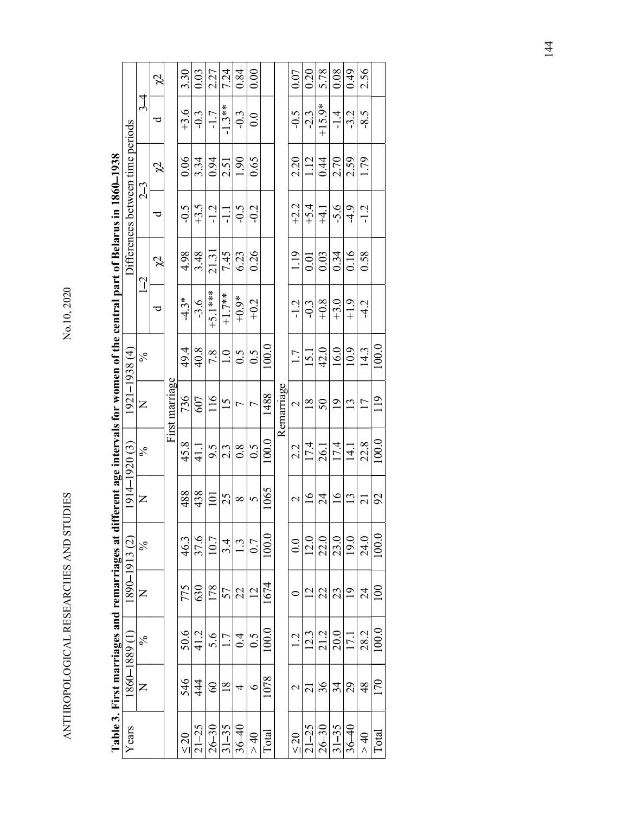| ׇ֘֝֬֝           |
|-----------------|
|                 |
|                 |
| くーーーー           |
| í               |
| - 1<br>1<br>1   |
|                 |
| ・・・ ていてん しんりんしゃ |
|                 |
|                 |
|                 |
|                 |
|                 |

|                                                                                                         | ļ<br>a namori                 | j                        |
|---------------------------------------------------------------------------------------------------------|-------------------------------|--------------------------|
| $\sum_{i=1}^{n}$<br>$\vec{a}$<br>arus I                                                                 | Philadels content this b<br>T | $\epsilon$<br>$\epsilon$ |
| for women of the central part of Bela                                                                   | $\frac{c}{c}$                 |                          |
|                                                                                                         |                               |                          |
|                                                                                                         | 10.21<br>$55 - 15$<br>1/7     |                          |
| s at different age intervals fo                                                                         | $\sim$                        |                          |
|                                                                                                         | $2514 + 192013$               |                          |
|                                                                                                         | $\frac{1}{2}$<br>Ś            | $\leq$                   |
|                                                                                                         | .<br>.<br>.<br>.<br>.         |                          |
| こくしゃ こうさく                                                                                               |                               |                          |
| in mark<br>֧֖֖֖֧֧ׅ֧ׅ֧֧֧֧֧ׅ֧֧֧֧֧֧֧֧֧֧֧֧֧֚֚֚֚֚֚֚֚֚֚֚֚֚֚֚֝֝֝֝֓֝֬֜֓֓֝֬֝֬֝֓֝֬֝֬֜֓֓֝֬֝֬֝֬֝֬֝֬֝֬֝֬֝֬֝֬֝֬֝֬֝֬֝֬ | TASA TON C                    |                          |
| ī                                                                                                       | $\sim$<br>م<br>م              |                          |

|                                                                                                                           |                                  |                 | $\cancel{c}$ |                | 3.30      | 0.03      | 2.27      | 7.24      | 0.84             | 0.00           |       |            | 0.07              | 0.20                        | 5.78      | 0.08            | 64.0             | 2.56            |                  |
|---------------------------------------------------------------------------------------------------------------------------|----------------------------------|-----------------|--------------|----------------|-----------|-----------|-----------|-----------|------------------|----------------|-------|------------|-------------------|-----------------------------|-----------|-----------------|------------------|-----------------|------------------|
|                                                                                                                           |                                  | $\frac{3}{4}$   | ರ            |                | $+3.6$    | $-0.3$    | $-1.7$    | $-1.3**$  | $-0.3$           | 0.0            |       |            | $-0.5$            | $-2.3$                      | $+15.9*$  | $-1.4$          | $-3.2$           | $-8.5$          |                  |
|                                                                                                                           |                                  |                 | $\cancel{c}$ |                | 0.06      | 3.34      | 0.94      | 2.51      | 1.90             | 0.65           |       |            | 2.20              | 1.12                        | 0.44      | 2.70            | 2.59             | 1.79            |                  |
|                                                                                                                           | Differences between time periods | $2\overline{3}$ | ರ            |                | $-0.5$    | $+3.5$    | $-1.2$    | $-1.1$    | $-0.5$           | $-0.2$         |       |            | $+2.2$            | $+5.4$                      | $-4.1$    | $-5.6$          | $-4.9$           | $-1.2$          |                  |
|                                                                                                                           |                                  |                 | $\Im$        |                | 4.98      | 3.48      | 21.31     | 7.45      | 6.23             | 0.26           |       |            | 1.19              | 0.01                        | 0.03      | 0.34            | 0.16             | 0.58            |                  |
|                                                                                                                           |                                  | $1-2$           | ರ            |                | $-4.3*$   | $-3.6$    | $+5.1***$ | $+1.7**$  | $+0.9*$          | $+0.2$         |       |            | $-1.2$            | $-0.3$                      | $+0.8$    | $+3.0$          | $+1.9$           | $-4.2$          |                  |
|                                                                                                                           | $(4)$ 8561-                      | $\%$            |              |                | 49.4      | 40.8      | 7.8       | 1.0       | 6.5              | 0.5            | 100.0 |            | $1.7\,$           | 15.1                        | 42.0      | 16.0            | 10.9             | 14.3            | 100.0            |
|                                                                                                                           | 1921                             | $\succ$         |              | First marriage | 736       | 607       | 116       | 15        | $\overline{ }$   | $\overline{ }$ | 1488  | Remarriage | $\sim$            | 18                          | 50        | $\overline{19}$ | 13               | 17              | 119              |
|                                                                                                                           |                                  | $\%$            |              |                | 45.8      | 41.1      | 9.5       | 2.3       | $0.\overline{8}$ | 0.5            | 100.0 |            | 2.2               | 17.4                        | 26.1      | 17.4            | $\frac{14.1}{1}$ | 22.8            | 100.0            |
|                                                                                                                           | $1914 - 1920$ (3)                | $\overline{z}$  |              |                | 488       | 438       | $101\,$   |           | $\frac{25}{8}$   |                | 1065  |            | $\sim$            | $\mathcal{S}_{\mathcal{A}}$ | 24        | $\mathbf{e}$    |                  | $\frac{13}{21}$ |                  |
|                                                                                                                           | $\overline{\omega}$              | $\frac{5}{6}$   |              |                | 46.3      | 37.6      | 10.7      | 3.4       | 1.3              | 0.7            | 100.0 |            | 0.0               | 12.0                        | 22.0      | 23.0            | 19.0             | 24.0            | 100.0            |
|                                                                                                                           | 1890-1913                        | $\succ$         |              |                | 775       | 630       | 178       | 57        | 22               | $\overline{2}$ | 1674  |            | $\circ$           | 12                          | 22        | 23              | 19               | $\overline{24}$ | $\overline{100}$ |
| Table 3. First marriages and remarriages at different age intervals for women of the central part of Belarus in 1860–1938 |                                  | $\frac{6}{6}$   |              |                | 50.6      | 41.2      | 5.6       | 1.7       | 0.4              | 0.5            | 100.0 |            | 1.2               | 12.3                        | 21.2      | 20.0            | 17.1             | 28.2            | 100.0            |
|                                                                                                                           | 1860-1889 (1                     | $\mathsf{z}$    |              |                | 546       | 444       | 60        | 18        | 4                | $\circ$        | 1078  |            | $\mathbf{\Omega}$ | $\overline{c}$              | 36        | 34              | 29               | 48              | 170              |
|                                                                                                                           | Years                            |                 |              |                | $\leq 20$ | $21 - 25$ | $26 - 30$ | $31 - 35$ | $36 - 40$        | $0+$           | Total |            | $\leq 20$         | $21 - 25$                   | $26 - 30$ | $31 - 35$       | $36 - 40$        | $\geqslant 40$  | Total            |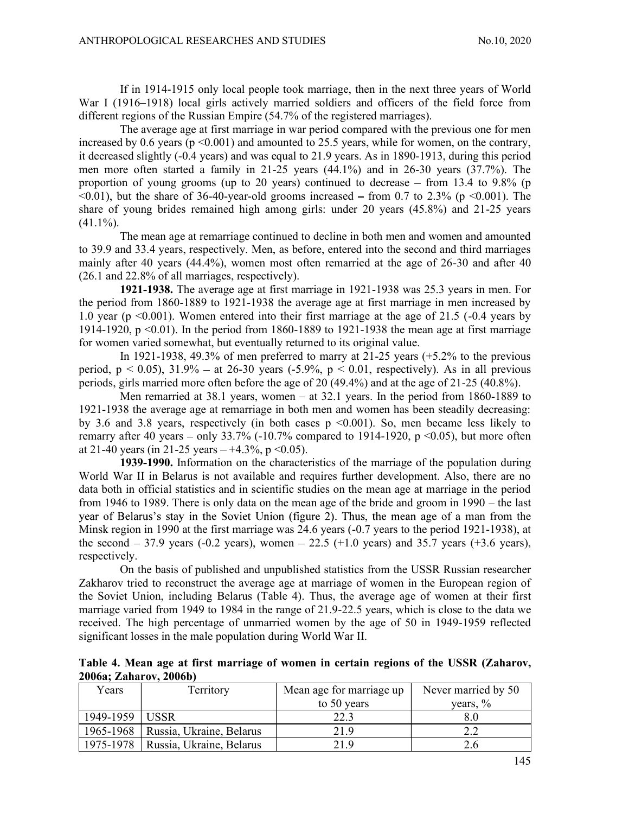If in 1914-1915 only local people took marriage, then in the next three years of World War I (1916–1918) local girls actively married soldiers and officers of the field force from different regions of the Russian Empire (54.7% of the registered marriages).

The average age at first marriage in war period compared with the previous one for men increased by 0.6 years ( $p \le 0.001$ ) and amounted to 25.5 years, while for women, on the contrary, it decreased slightly (-0.4 years) and was equal to 21.9 years. As in 1890-1913, during this period men more often started a family in 21-25 years (44.1%) and in 26-30 years (37.7%). The proportion of young grooms (up to 20 years) continued to decrease  $-$  from 13.4 to 9.8% (p  $\leq 0.01$ , but the share of 36-40-year-old grooms increased – from 0.7 to 2.3% (p  $\leq 0.001$ ). The share of young brides remained high among girls: under 20 years (45.8%) and 21-25 years  $(41.1\%)$ .

The mean age at remarriage continued to decline in both men and women and amounted to 39.9 and 33.4 years, respectively. Men, as before, entered into the second and third marriages mainly after 40 years (44.4%), women most often remarried at the age of 26-30 and after 40 (26.1 and 22.8% of all marriages, respectively).

1921-1938. The average age at first marriage in 1921-1938 was 25.3 years in men. For the period from 1860-1889 to 1921-1938 the average age at first marriage in men increased by 1.0 year (p <0.001). Women entered into their first marriage at the age of 21.5 (-0.4 years by 1914-1920, p  $\leq 0.01$ ). In the period from 1860-1889 to 1921-1938 the mean age at first marriage for women varied somewhat, but eventually returned to its original value.

In 1921-1938, 49.3% of men preferred to marry at 21-25 years  $(+5.2\%$  to the previous period,  $p < 0.05$ ),  $31.9\%$  – at 26-30 years (-5.9%,  $p < 0.01$ , respectively). As in all previous periods, girls married more often before the age of 20 (49.4%) and at the age of 21-25 (40.8%).

Men remarried at  $38.1$  years, women – at  $32.1$  years. In the period from  $1860-1889$  to 1921-1938 the average age at remarriage in both men and women has been steadily decreasing: by 3.6 and 3.8 years, respectively (in both cases  $p \le 0.001$ ). So, men became less likely to remarry after 40 years – only 33.7% (-10.7% compared to 1914-1920, p <0.05), but more often at 21-40 years (in 21-25 years  $-+4.3\%$ , p < 0.05).

1939-1990. Information on the characteristics of the marriage of the population during World War II in Belarus is not available and requires further development. Also, there are no data both in official statistics and in scientific studies on the mean age at marriage in the period from 1946 to 1989. There is only data on the mean age of the bride and groom in  $1990 -$  the last year of Belarus's stay in the Soviet Union (figure 2). Thus, the mean age of a man from the Minsk region in 1990 at the first marriage was 24.6 years (-0.7 years to the period 1921-1938), at the second  $-37.9$  years (-0.2 years), women  $-22.5$  (+1.0 years) and 35.7 years (+3.6 years), respectively.

On the basis of published and unpublished statistics from the USSR Russian researcher Zakharov tried to reconstruct the average age at marriage of women in the European region of the Soviet Union, including Belarus (Table 4). Thus, the average age of women at their first marriage varied from 1949 to 1984 in the range of 21.9-22.5 years, which is close to the data we received. The high percentage of unmarried women by the age of 50 in 1949-1959 reflected significant losses in the male population during World War II.

Table 4. Mean age at first marriage of women in certain regions of the USSR (Zaharov, 2006a; Zaharov, 2006b)

| Years         | Territory                | Mean age for marriage up | Never married by 50 |
|---------------|--------------------------|--------------------------|---------------------|
|               |                          | to 50 years              | years, $\%$         |
| 1949-1959     | USSR                     | າາ                       | 8.0                 |
| $1965 - 1968$ | Russia, Ukraine, Belarus | 21.9                     | 2.Z                 |
| 1975-1978     | Russia, Ukraine, Belarus | 21.9                     | 2.0                 |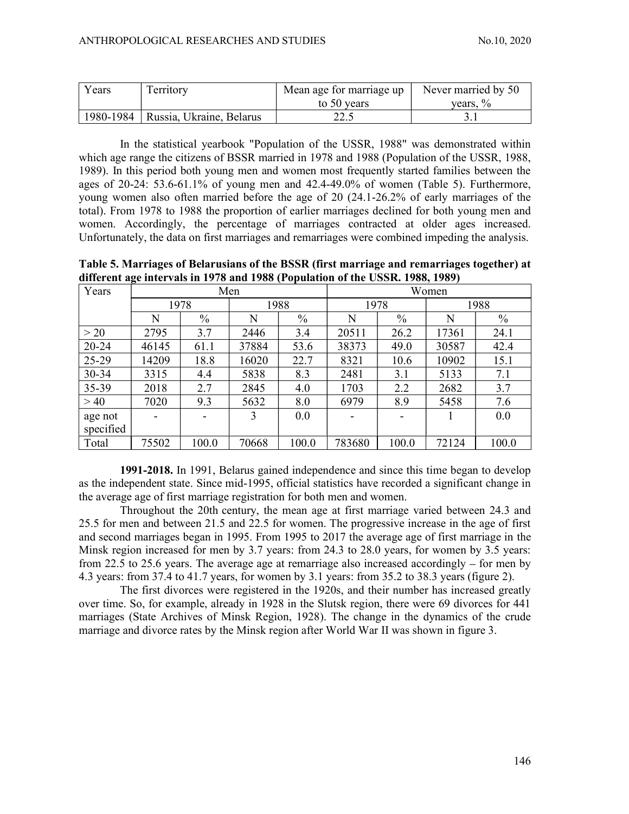| Years     | $\mathbf{r}$<br>erritory                      | Mean age for marriage up | Never married by 50          |
|-----------|-----------------------------------------------|--------------------------|------------------------------|
|           |                                               | to 50 years              | $\frac{v}{\alpha}$<br>vears, |
| 1980-1984 | T T1<br><b>Belarus</b><br>∪kraine,<br>Kussia, | $\sim$<br>22.J           | <u>.</u>                     |

In the statistical yearbook "Population of the USSR, 1988" was demonstrated within which age range the citizens of BSSR married in 1978 and 1988 (Population of the USSR, 1988, 1989). In this period both young men and women most frequently started families between the ages of 20-24: 53.6-61.1% of young men and 42.4-49.0% of women (Table 5). Furthermore, young women also often married before the age of 20 (24.1-26.2% of early marriages of the total). From 1978 to 1988 the proportion of earlier marriages declined for both young men and women. Accordingly, the percentage of marriages contracted at older ages increased. Unfortunately, the data on first marriages and remarriages were combined impeding the analysis.

Table 5. Marriages of Belarusians of the BSSR (first marriage and remarriages together) at different age intervals in 1978 and 1988 (Population of the USSR. 1988, 1989)

| Years     |       |       | Men   |       | Women  |               |       |       |  |  |  |  |  |
|-----------|-------|-------|-------|-------|--------|---------------|-------|-------|--|--|--|--|--|
|           |       | 1978  |       | 1988  | 1978   |               |       | 1988  |  |  |  |  |  |
|           | N     | $\%$  | N     | $\%$  | N      | $\frac{0}{0}$ | N     | $\%$  |  |  |  |  |  |
| >20       | 2795  | 3.7   | 2446  | 3.4   | 20511  | 26.2          | 17361 | 24.1  |  |  |  |  |  |
| $20 - 24$ | 46145 | 61.1  | 37884 | 53.6  | 38373  | 49.0          | 30587 | 42.4  |  |  |  |  |  |
| 25-29     | 14209 | 18.8  | 16020 | 22.7  | 8321   | 10.6          | 10902 | 15.1  |  |  |  |  |  |
| $30 - 34$ | 3315  | 4.4   | 5838  | 8.3   | 2481   | 3.1           | 5133  | 7.1   |  |  |  |  |  |
| 35-39     | 2018  | 2.7   | 2845  | 4.0   | 1703   | 2.2           | 2682  | 3.7   |  |  |  |  |  |
| >40       | 7020  | 9.3   | 5632  | 8.0   | 6979   | 8.9           | 5458  | 7.6   |  |  |  |  |  |
| age not   |       |       | 3     | 0.0   |        |               |       | 0.0   |  |  |  |  |  |
| specified |       |       |       |       |        |               |       |       |  |  |  |  |  |
| Total     | 75502 | 100.0 | 70668 | 100.0 | 783680 | 100.0         | 72124 | 100.0 |  |  |  |  |  |

1991-2018. In 1991, Belarus gained independence and since this time began to develop as the independent state. Since mid-1995, official statistics have recorded a significant change in the average age of first marriage registration for both men and women.

Throughout the 20th century, the mean age at first marriage varied between 24.3 and 25.5 for men and between 21.5 and 22.5 for women. The progressive increase in the age of first and second marriages began in 1995. From 1995 to 2017 the average age of first marriage in the Minsk region increased for men by 3.7 years: from 24.3 to 28.0 years, for women by 3.5 years: from 22.5 to 25.6 years. The average age at remarriage also increased accordingly  $-$  for men by 4.3 years: from 37.4 to 41.7 years, for women by 3.1 years: from 35.2 to 38.3 years (figure 2).

The first divorces were registered in the 1920s, and their number has increased greatly over time. So, for example, already in 1928 in the Slutsk region, there were 69 divorces for 441 marriages (State Archives of Minsk Region, 1928). The change in the dynamics of the crude marriage and divorce rates by the Minsk region after World War II was shown in figure 3.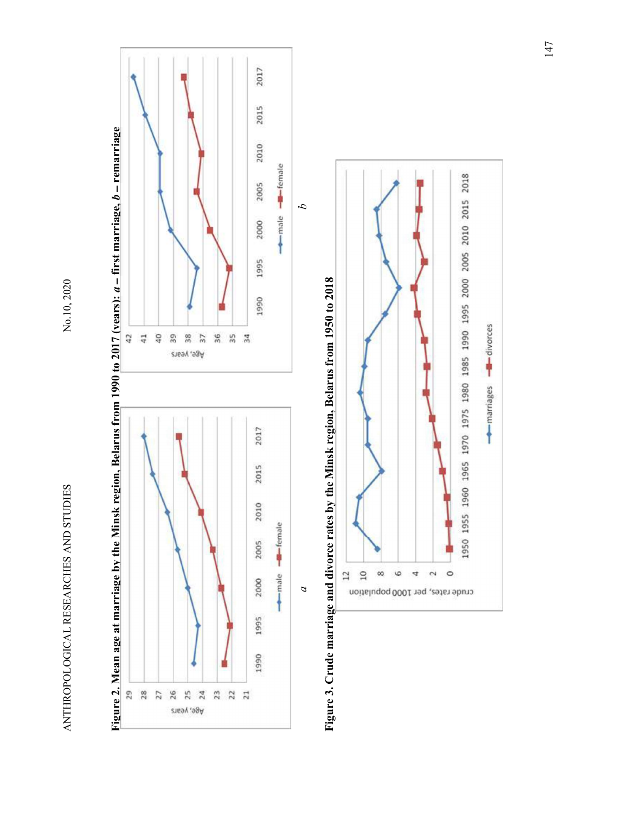



a  $a$ <br>Figure 3. Crude marriage and divorce rates by the Minsk region, Belarus from 1950 to 2018

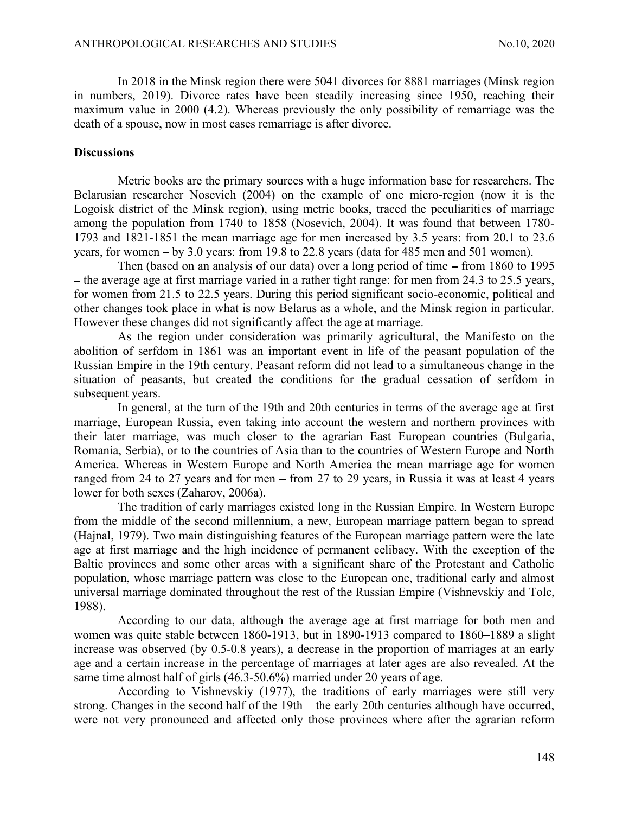ANTHROPOLOGICAL RESEARCHES AND STUDIES<br>
In 2018 in the Minsk region there were 5041 divorces for 8881 marriages (Minsk region<br>
in numbers, 2019). Divorce rates have been steadily increasing since 1950, reaching their<br>
maxi In 2018 in the Minsk region there were 5041 divorces for 8881 marriages (Minsk region in numbers, 2019). Divorce rates have been steadily increasing since 1950, reaching their maximum value in 2000 (4.2). Whereas previously the only possibility of remarriage was the death of a spouse, now in most cases remarriage is after divorce.

# **Discussions**

Metric books are the primary sources with a huge information base for researchers. The Belarusian researcher Nosevich (2004) on the example of one micro-region (now it is the Logoisk district of the Minsk region), using metric books, traced the peculiarities of marriage among the population from 1740 to 1858 (Nosevich, 2004). It was found that between 1780- 1793 and 1821-1851 the mean marriage age for men increased by 3.5 years: from 20.1 to 23.6 years, for women  $-$  by 3.0 years: from 19.8 to 22.8 years (data for 485 men and 501 women).

Then (based on an analysis of our data) over a long period of time  $-$  from 1860 to 1995  $-$  the average age at first marriage varied in a rather tight range: for men from 24.3 to 25.5 years, for women from 21.5 to 22.5 years. During this period significant socio-economic, political and other changes took place in what is now Belarus as a whole, and the Minsk region in particular. However these changes did not significantly affect the age at marriage.

As the region under consideration was primarily agricultural, the Manifesto on the abolition of serfdom in 1861 was an important event in life of the peasant population of the Russian Empire in the 19th century. Peasant reform did not lead to a simultaneous change in the situation of peasants, but created the conditions for the gradual cessation of serfdom in subsequent years.

In general, at the turn of the 19th and 20th centuries in terms of the average age at first marriage, European Russia, even taking into account the western and northern provinces with their later marriage, was much closer to the agrarian East European countries (Bulgaria, Romania, Serbia), or to the countries of Asia than to the countries of Western Europe and North America. Whereas in Western Europe and North America the mean marriage age for women ranged from 24 to 27 years and for men  $-$  from 27 to 29 years, in Russia it was at least 4 years lower for both sexes (Zaharov, 2006a).

The tradition of early marriages existed long in the Russian Empire. In Western Europe from the middle of the second millennium, a new, European marriage pattern began to spread (Hajnal, 1979). Two main distinguishing features of the European marriage pattern were the late age at first marriage and the high incidence of permanent celibacy. With the exception of the Baltic provinces and some other areas with a significant share of the Protestant and Catholic population, whose marriage pattern was close to the European one, traditional early and almost universal marriage dominated throughout the rest of the Russian Empire (Vishnevskiy and Tolc, 1988).

According to our data, although the average age at first marriage for both men and women was quite stable between 1860-1913, but in 1890-1913 compared to 1860–1889 a slight increase was observed (by 0.5-0.8 years), a decrease in the proportion of marriages at an early age and a certain increase in the percentage of marriages at later ages are also revealed. At the same time almost half of girls (46.3-50.6%) married under 20 years of age.

According to Vishnevskiy (1977), the traditions of early marriages were still very strong. Changes in the second half of the 19th – the early 20th centuries although have occurred, were not very pronounced and affected only those provinces where after the agrarian reform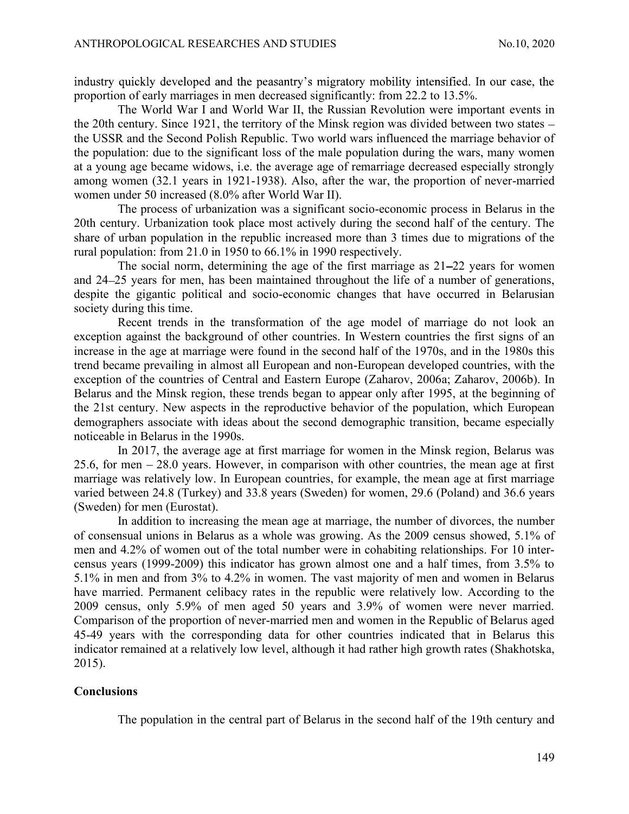ANTHROPOLOGICAL RESEARCHES AND STUDIES<br>
industry quickly developed and the peasantry's migratory mobility intensified. In our case, the<br>
proportion of early marriages in men decreased significantly: from 22.2 to 13.5%.<br>
Th proportion of early marriages in men decreased significantly: from 22.2 to 13.5%.

The World War I and World War II, the Russian Revolution were important events in the 20th century. Since 1921, the territory of the Minsk region was divided between two states the USSR and the Second Polish Republic. Two world wars influenced the marriage behavior of the population: due to the significant loss of the male population during the wars, many women at a young age became widows, i.e. the average age of remarriage decreased especially strongly among women (32.1 years in 1921-1938). Also, after the war, the proportion of never-married women under 50 increased (8.0% after World War II).

The process of urbanization was a significant socio-economic process in Belarus in the 20th century. Urbanization took place most actively during the second half of the century. The share of urban population in the republic increased more than 3 times due to migrations of the rural population: from 21.0 in 1950 to 66.1% in 1990 respectively.

The social norm, determining the age of the first marriage as  $21-22$  years for women and 24 25 years for men, has been maintained throughout the life of a number of generations, despite the gigantic political and socio-economic changes that have occurred in Belarusian society during this time.

Recent trends in the transformation of the age model of marriage do not look an exception against the background of other countries. In Western countries the first signs of an increase in the age at marriage were found in the second half of the 1970s, and in the 1980s this trend became prevailing in almost all European and non-European developed countries, with the exception of the countries of Central and Eastern Europe (Zaharov, 2006a; Zaharov, 2006b). In Belarus and the Minsk region, these trends began to appear only after 1995, at the beginning of the 21st century. New aspects in the reproductive behavior of the population, which European demographers associate with ideas about the second demographic transition, became especially noticeable in Belarus in the 1990s.

In 2017, the average age at first marriage for women in the Minsk region, Belarus was 25.6, for men 28.0 years. However, in comparison with other countries, the mean age at first marriage was relatively low. In European countries, for example, the mean age at first marriage varied between 24.8 (Turkey) and 33.8 years (Sweden) for women, 29.6 (Poland) and 36.6 years (Sweden) for men (Eurostat).

In addition to increasing the mean age at marriage, the number of divorces, the number of consensual unions in Belarus as a whole was growing. As the 2009 census showed, 5.1% of men and 4.2% of women out of the total number were in cohabiting relationships. For 10 intercensus years (1999-2009) this indicator has grown almost one and a half times, from 3.5% to 5.1% in men and from 3% to 4.2% in women. The vast majority of men and women in Belarus have married. Permanent celibacy rates in the republic were relatively low. According to the 2009 census, only 5.9% of men aged 50 years and 3.9% of women were never married. Comparison of the proportion of never-married men and women in the Republic of Belarus aged 45-49 years with the corresponding data for other countries indicated that in Belarus this indicator remained at a relatively low level, although it had rather high growth rates (Shakhotska, 2015).

#### Conclusions

The population in the central part of Belarus in the second half of the 19th century and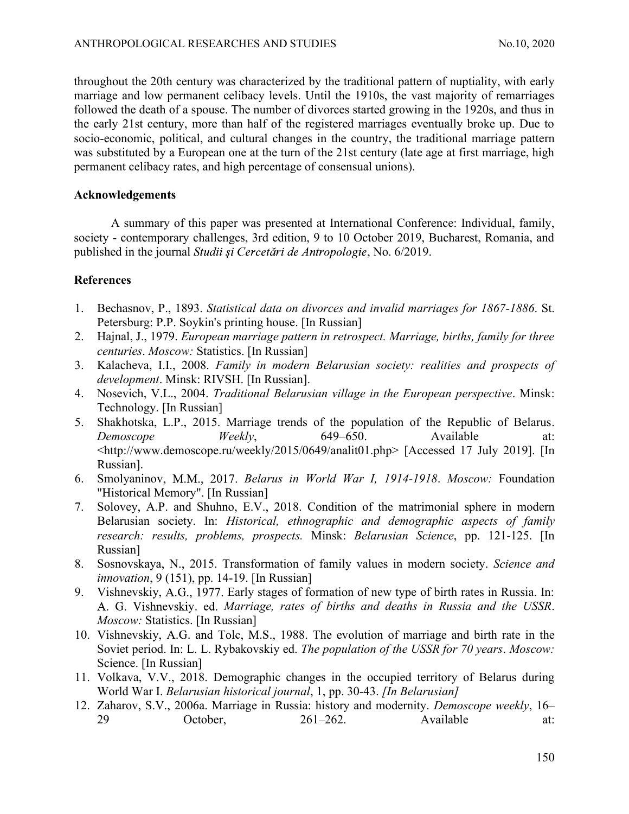ANTHROPOLOGICAL RESEARCHES AND STUDIES<br>
ho.10, 2020<br>
throughout the 20th century was characterized by the traditional pattern of nuptiality, with early<br>
marriage and low permanent celibacy levels. Until the 1910s, the vast throughout the 20th century was characterized by the traditional pattern of nuptiality, with early marriage and low permanent celibacy levels. Until the 1910s, the vast majority of remarriages followed the death of a spouse. The number of divorces started growing in the 1920s, and thus in the early 21st century, more than half of the registered marriages eventually broke up. Due to socio-economic, political, and cultural changes in the country, the traditional marriage pattern was substituted by a European one at the turn of the 21st century (late age at first marriage, high permanent celibacy rates, and high percentage of consensual unions).

# Acknowledgements

A summary of this paper was presented at International Conference: Individual, family, society - contemporary challenges, 3rd edition, 9 to 10 October 2019, Bucharest, Romania, and published in the journal Studii și Cercetări de Antropologie, No. 6/2019.

# References

- 1. Bechasnov, P., 1893. Statistical data on divorces and invalid marriages for 1867-1886. St. Petersburg: P.P. Soykin's printing house. [In Russian]
- 2. Hajnal, J., 1979. European marriage pattern in retrospect. Marriage, births, family for three centuries. Moscow: Statistics. [In Russian]
- 3. Kalacheva, I.I., 2008. Family in modern Belarusian society: realities and prospects of development. Minsk: RIVSH. [In Russian].
- 4. Nosevich, V.L., 2004. Traditional Belarusian village in the European perspective. Minsk: Technology. [In Russian]
- 5. Shakhotska, L.P., 2015. Marriage trends of the population of the Republic of Belarus. Demoscope Weekly, 649–650. Available at: <http://www.demoscope.ru/weekly/2015/0649/analit01.php> [Accessed 17 July 2019]. [In Russian].
- 6. Smolyaninov, M.M., 2017. Belarus in World War I, 1914-1918. Moscow: Foundation "Historical Memory". [In Russian]
- 7. Solovey, A.P. and Shuhno, E.V., 2018. Condition of the matrimonial sphere in modern Belarusian society. In: Historical, ethnographic and demographic aspects of family research: results, problems, prospects. Minsk: Belarusian Science, pp. 121-125. [In Russian]
- 8. Sosnovskaya, N., 2015. Transformation of family values in modern society. Science and innovation, 9 (151), pp. 14-19. [In Russian]
- 9. Vishnevskiy, A.G., 1977. Early stages of formation of new type of birth rates in Russia. In: A. G. Vishnevskiy. ed. Marriage, rates of births and deaths in Russia and the USSR. Moscow: Statistics. [In Russian]
- 10. Vishnevskiy, A.G. and Tolc, M.S., 1988. The evolution of marriage and birth rate in the Soviet period. In: L. L. Rybakovskiy ed. The population of the USSR for 70 years. Moscow: Science. [In Russian]
- 11. Volkava, V.V., 2018. Demographic changes in the occupied territory of Belarus during World War I. Belarusian historical journal, 1, pp. 30-43. [In Belarusian]
- 12. Zaharov, S.V., 2006a. Marriage in Russia: history and modernity. Demoscope weekly, 16-29 October, 261–262. Available at: